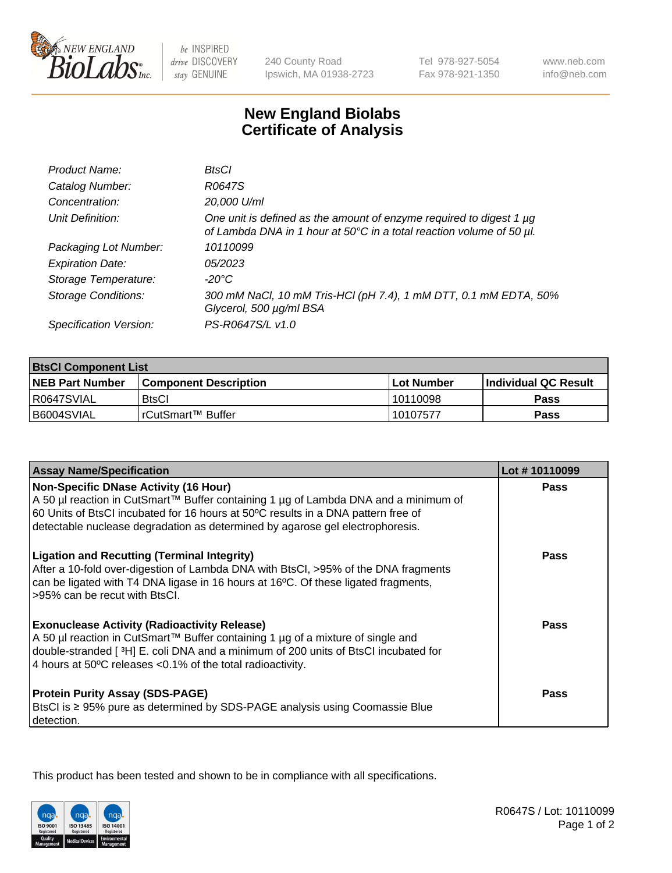

 $be$  INSPIRED drive DISCOVERY stay GENUINE

240 County Road Ipswich, MA 01938-2723 Tel 978-927-5054 Fax 978-921-1350

www.neb.com info@neb.com

## **New England Biolabs Certificate of Analysis**

| Product Name:              | BtsCl                                                                                                                                            |
|----------------------------|--------------------------------------------------------------------------------------------------------------------------------------------------|
| Catalog Number:            | R0647S                                                                                                                                           |
| Concentration:             | 20,000 U/ml                                                                                                                                      |
| Unit Definition:           | One unit is defined as the amount of enzyme required to digest 1 $\mu$ g<br>of Lambda DNA in 1 hour at 50°C in a total reaction volume of 50 µl. |
| Packaging Lot Number:      | 10110099                                                                                                                                         |
| <b>Expiration Date:</b>    | 05/2023                                                                                                                                          |
| Storage Temperature:       | $-20^{\circ}$ C                                                                                                                                  |
| <b>Storage Conditions:</b> | 300 mM NaCl, 10 mM Tris-HCl (pH 7.4), 1 mM DTT, 0.1 mM EDTA, 50%<br>Glycerol, 500 µg/ml BSA                                                      |
| Specification Version:     | PS-R0647S/L v1.0                                                                                                                                 |

| <b>BisCI Component List</b> |                              |              |                       |  |
|-----------------------------|------------------------------|--------------|-----------------------|--|
| <b>NEB Part Number</b>      | <b>Component Description</b> | l Lot Number | ∣Individual QC Result |  |
| R0647SVIAL                  | <b>BtsCl</b>                 | 10110098     | Pass                  |  |
| B6004SVIAL                  | l rCutSmart™ Buffer          | 10107577     | Pass                  |  |

| <b>Assay Name/Specification</b>                                                                                                                                                                                                                                                            | Lot #10110099 |
|--------------------------------------------------------------------------------------------------------------------------------------------------------------------------------------------------------------------------------------------------------------------------------------------|---------------|
| <b>Non-Specific DNase Activity (16 Hour)</b><br>A 50 µl reaction in CutSmart™ Buffer containing 1 µg of Lambda DNA and a minimum of                                                                                                                                                        | Pass          |
| 60 Units of BtsCl incubated for 16 hours at 50°C results in a DNA pattern free of<br>detectable nuclease degradation as determined by agarose gel electrophoresis.                                                                                                                         |               |
| <b>Ligation and Recutting (Terminal Integrity)</b><br>After a 10-fold over-digestion of Lambda DNA with BtsCl, >95% of the DNA fragments<br>can be ligated with T4 DNA ligase in 16 hours at 16°C. Of these ligated fragments,<br>>95% can be recut with BtsCl.                            | Pass          |
| <b>Exonuclease Activity (Radioactivity Release)</b><br>A 50 µl reaction in CutSmart™ Buffer containing 1 µg of a mixture of single and<br>double-stranded [3H] E. coli DNA and a minimum of 200 units of BtsCl incubated for<br>4 hours at 50°C releases <0.1% of the total radioactivity. | Pass          |
| <b>Protein Purity Assay (SDS-PAGE)</b><br>BtsCl is ≥ 95% pure as determined by SDS-PAGE analysis using Coomassie Blue<br>detection.                                                                                                                                                        | <b>Pass</b>   |

This product has been tested and shown to be in compliance with all specifications.